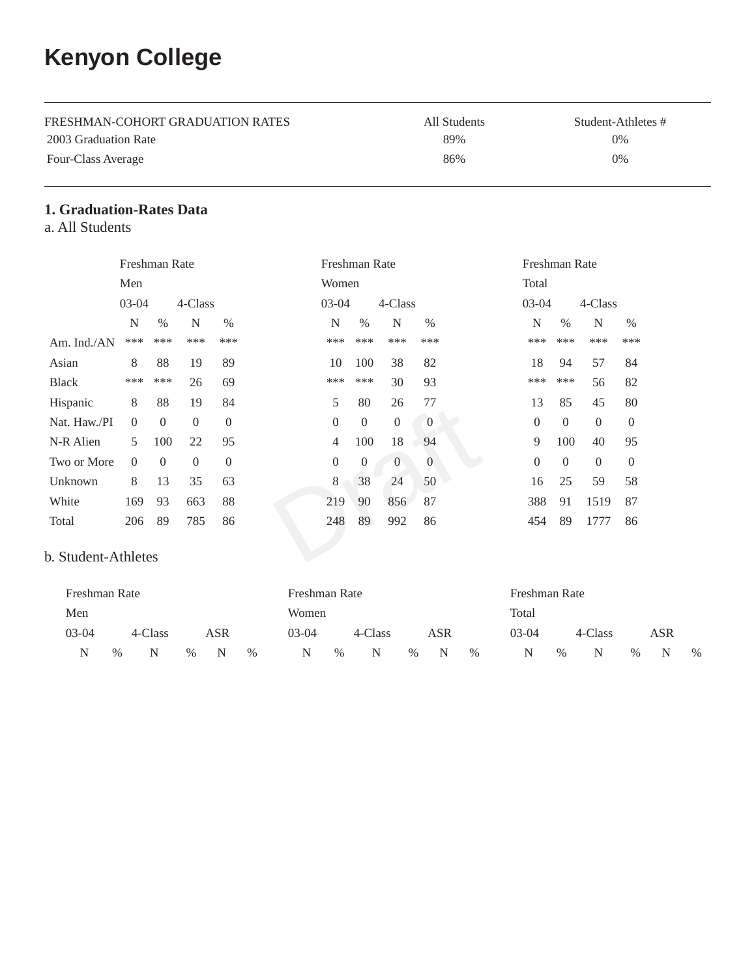# **Kenyon College**

| FRESHMAN-COHORT GRADUATION RATES | All Students | Student-Athletes # |
|----------------------------------|--------------|--------------------|
| 2003 Graduation Rate             | 89%          | 0%                 |
| Four-Class Average               | 86%          | 0%                 |

#### **1. Graduation-Rates Data**

a. All Students

|              | Freshman Rate  |                |                |                | Freshman Rate    |                |                |                |  |              | Freshman Rate  |                |          |  |  |
|--------------|----------------|----------------|----------------|----------------|------------------|----------------|----------------|----------------|--|--------------|----------------|----------------|----------|--|--|
|              | Men            |                |                |                | Women            |                |                |                |  |              | Total          |                |          |  |  |
|              | $03-04$        |                | 4-Class        |                | $03-04$          |                | 4-Class        |                |  | $03-04$      |                | 4-Class        |          |  |  |
|              | N              | $\%$           | N              | $\%$           | $\mathbf N$      | $\%$           | N              | $\%$           |  | N            | $\%$           | $\mathbf N$    | $\%$     |  |  |
| Am. Ind./AN  | ***            | ***            | ***            | ***            | ***              | ***            | ***            | ***            |  | ***          | ***            | ***            | ***      |  |  |
| Asian        | 8              | 88             | 19             | 89             | 10               | 100            | 38             | 82             |  | 18           | 94             | 57             | 84       |  |  |
| Black        | ***            | ***            | 26             | 69             | ***              | ***            | 30             | 93             |  | ***          | ***            | 56             | 82       |  |  |
| Hispanic     | 8              | 88             | 19             | 84             | 5                | 80             | 26             | 77             |  | 13           | 85             | 45             | 80       |  |  |
| Nat. Haw./PI | $\theta$       | $\overline{0}$ | $\theta$       | $\overline{0}$ | $\overline{0}$   | $\theta$       | $\overline{0}$ | $\overline{0}$ |  | $\mathbf{0}$ | $\theta$       | $\theta$       | $\theta$ |  |  |
| N-R Alien    | 5              | 100            | 22             | 95             | 4                | 100            | 18             | 94             |  | 9            | 100            | 40             | 95       |  |  |
| Two or More  | $\overline{0}$ | $\overline{0}$ | $\overline{0}$ | $\overline{0}$ | $\boldsymbol{0}$ | $\overline{0}$ | $\overline{0}$ | $\overline{0}$ |  | $\mathbf{0}$ | $\overline{0}$ | $\overline{0}$ | $\theta$ |  |  |
| Unknown      | 8              | 13             | 35             | 63             | 8                | 38             | 24             | 50             |  | 16           | 25             | 59             | 58       |  |  |
| White        | 169            | 93             | 663            | 88             | 219              | 90             | 856            | 87             |  | 388          | 91             | 1519           | 87       |  |  |
| Total        | 206            | 89             | 785            | 86             | 248              | 89             | 992            | 86             |  | 454          | 89             | 1777           | 86       |  |  |

#### b. Student-Athletes

| Freshman Rate |               |         |      |     |      | Freshman Rate |      |         |      |     |      | Freshman Rate |      |         |      |     |      |
|---------------|---------------|---------|------|-----|------|---------------|------|---------|------|-----|------|---------------|------|---------|------|-----|------|
| Men           |               |         |      |     |      | Women         |      |         |      |     |      | Total         |      |         |      |     |      |
| $03-04$       |               | 4-Class |      | ASR |      | $03-04$       |      | 4-Class |      | ASR |      | $03-04$       |      | 4-Class |      | ASR |      |
| N             | $\frac{0}{0}$ | N       | $\%$ | N   | $\%$ | N             | $\%$ | N       | $\%$ | N   | $\%$ | N             | $\%$ | N       | $\%$ | N   | $\%$ |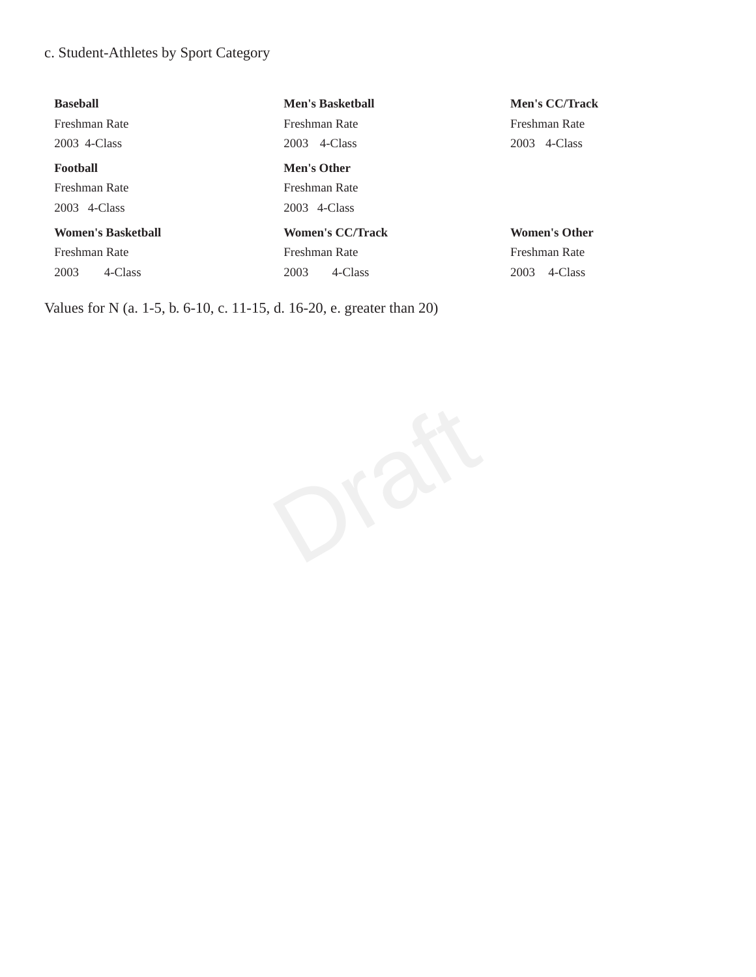### c. Student-Athletes by Sport Category

| <b>Baseball</b>           | <b>Men's Basketball</b> | <b>Men's CC/Track</b> |
|---------------------------|-------------------------|-----------------------|
| Freshman Rate             | Freshman Rate           | Freshman Rate         |
| 2003 4-Class              | 4-Class<br>2003         | 4-Class<br>2003       |
| <b>Football</b>           | Men's Other             |                       |
| Freshman Rate             | Freshman Rate           |                       |
| 2003 4-Class              | 2003 4-Class            |                       |
| <b>Women's Basketball</b> | <b>Women's CC/Track</b> | <b>Women's Other</b>  |
| Freshman Rate             | Freshman Rate           | Freshman Rate         |
| 2003<br>4-Class           | 4-Class<br>2003         | 4-Class<br>2003       |
|                           |                         |                       |

Values for N (a. 1-5, b. 6-10, c. 11-15, d. 16-20, e. greater than 20)